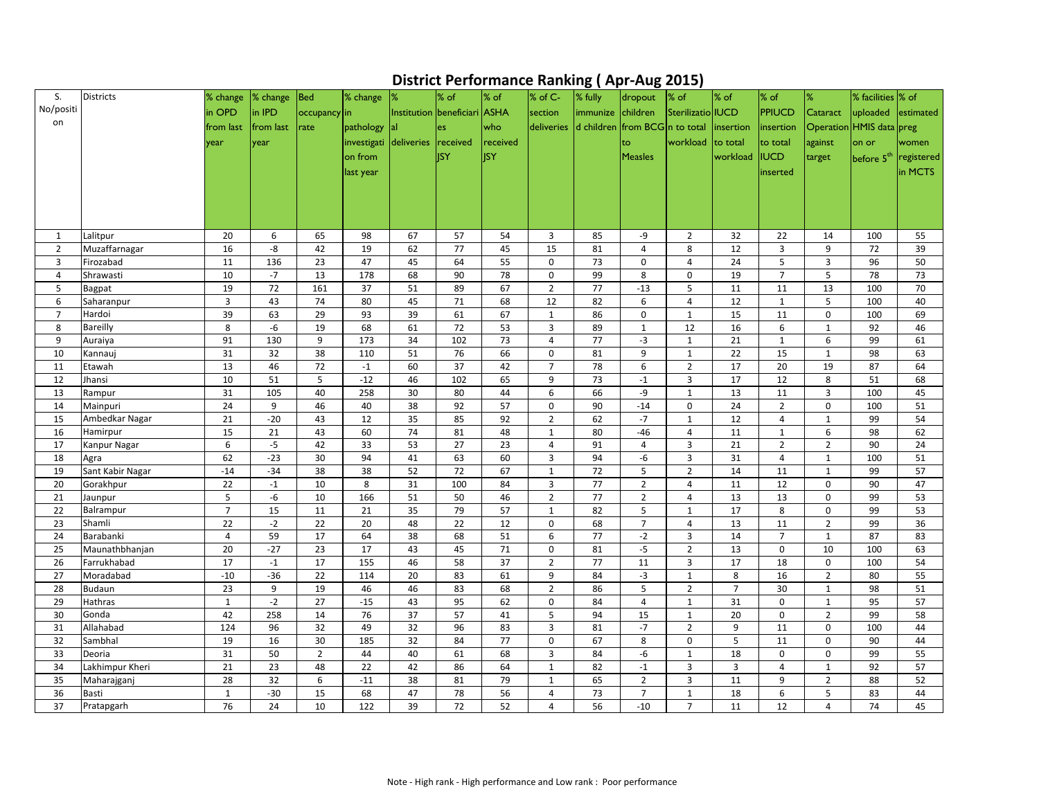## **District Performance Ranking ( Apr-Aug 2015)**

| S.             | <b>Districts</b>           | % change           | % change    | Bed            | % change               | 1%                           | $\frac{8}{5}$ of | $%$ of     | % of C-                       | $\bullet$ $\cdot$<br>% fully              | T - O<br>dropout                 | —————<br>$\%$ of               | $\frac{8}{5}$ of | $%$ of                           | $\frac{9}{6}$               | % facilities  % of       |                                   |
|----------------|----------------------------|--------------------|-------------|----------------|------------------------|------------------------------|------------------|------------|-------------------------------|-------------------------------------------|----------------------------------|--------------------------------|------------------|----------------------------------|-----------------------------|--------------------------|-----------------------------------|
| No/positi      |                            | in OPD             | in IPD      | occupancy in   |                        | Institution beneficiari ASHA |                  |            | section                       | immunize children                         |                                  | Sterilizatio IUCD              |                  | <b>PPIUCD</b>                    | Cataract                    | uploaded estimated       |                                   |
| on             |                            | from last          | from last   | rate           | pathology              | lal                          | les              | who        |                               | deliveries d children from BCG n to total |                                  |                                | linsertion       | insertion                        |                             | Operation HMIS data preg |                                   |
|                |                            |                    |             |                | investigati deliveries |                              |                  | received   |                               |                                           |                                  | workload                       | to total         |                                  |                             |                          |                                   |
|                |                            | year               | year        |                |                        |                              | received         |            |                               |                                           | to                               |                                |                  | to total                         | against                     | on or                    | women                             |
|                |                            |                    |             |                | on from                |                              | lisy             | <b>ISY</b> |                               |                                           | <b>Measles</b>                   |                                | workload         | <b>IUCD</b>                      | target                      |                          | before 5 <sup>th</sup> registered |
|                |                            |                    |             |                | last year              |                              |                  |            |                               |                                           |                                  |                                |                  | inserted                         |                             |                          | in MCTS                           |
|                |                            |                    |             |                |                        |                              |                  |            |                               |                                           |                                  |                                |                  |                                  |                             |                          |                                   |
|                |                            |                    |             |                |                        |                              |                  |            |                               |                                           |                                  |                                |                  |                                  |                             |                          |                                   |
|                |                            |                    |             |                |                        |                              |                  |            |                               |                                           |                                  |                                |                  |                                  |                             |                          |                                   |
| 1              | Lalitpur                   | 20                 | 6           | 65             | 98                     | 67                           | 57               | 54         | $\overline{3}$                | 85                                        | -9                               | $\overline{2}$                 | 32               | 22                               | 14                          | 100                      | 55                                |
| $\overline{2}$ | Muzaffarnagar              | 16                 | -8          | 42             | 19                     | 62                           | 77               | 45         | 15                            | 81                                        | 4                                | 8                              | 12               | 3                                | 9                           | 72                       | 39                                |
| 3              | Firozabad                  | 11                 | 136         | 23             | 47                     | 45                           | 64               | 55         | $\mathbf 0$                   | 73                                        | $\mathbf 0$                      | $\overline{4}$                 | 24               | 5                                | $\mathbf{3}$                | 96                       | 50                                |
| 4              | Shrawasti                  | 10                 | $-7$        | 13             | 178                    | 68                           | 90               | 78         | $\mathbf 0$                   | 99                                        | 8                                | $\mathbf 0$                    | 19               | 7                                | 5                           | 78                       | 73                                |
| 5              | <b>Bagpat</b>              | 19                 | 72          | 161            | 37                     | 51                           | 89               | 67         | $\overline{2}$                | 77                                        | $-13$                            | 5                              | 11               | 11                               | 13                          | 100                      | 70                                |
| 6              | Saharanpur                 | 3                  | 43          | 74             | 80                     | 45                           | 71               | 68         | 12                            | 82                                        | 6                                | 4                              | 12               | $\mathbf{1}$                     | 5                           | 100                      | 40                                |
| $\overline{7}$ | Hardoi                     | 39                 | 63          | 29             | 93                     | 39                           | 61               | 67         | $\mathbf{1}$                  | 86                                        | $\mathbf 0$                      | $\mathbf{1}$                   | 15               | 11                               | $\mathbf 0$                 | 100                      | 69                                |
| 8              | <b>Bareilly</b>            | 8                  | $-6$        | 19             | 68                     | 61                           | 72               | 53         | 3                             | 89                                        | $\mathbf{1}$                     | 12                             | 16               | 6                                | $\mathbf{1}$                | 92                       | 46                                |
| 9              | Auraiya                    | 91                 | 130         | 9              | 173                    | 34                           | 102              | 73         | 4                             | 77                                        | $-3$                             | 1                              | 21               | -1                               | 6                           | 99                       | 61                                |
| 10             | Kannauj                    | 31                 | 32          | 38             | 110                    | 51                           | 76               | 66         | $\mathbf 0$                   | 81                                        | 9                                | $\mathbf{1}$                   | 22               | 15                               | $\mathbf{1}$                | 98                       | 63                                |
| 11             | Etawah                     | 13                 | 46          | 72             | $-1$                   | 60                           | 37               | 42         | $\overline{7}$                | 78                                        | 6                                | $\overline{2}$                 | 17               | 20                               | 19                          | 87                       | 64                                |
| 12             | Jhansi                     | 10                 | 51          | 5              | $-12$                  | 46                           | 102              | 65         | 9                             | 73                                        | $-1$                             | $\mathbf{3}$                   | 17               | 12                               | 8                           | 51                       | 68                                |
| 13             | Rampur                     | 31                 | 105         | 40             | 258                    | 30                           | 80               | 44         | 6                             | 66                                        | -9                               | $\mathbf{1}$                   | 13               | 11                               | 3                           | 100                      | 45                                |
| 14<br>15       | Mainpuri<br>Ambedkar Nagar | 24<br>21           | 9<br>$-20$  | 46<br>43       | 40<br>12               | 38<br>35                     | 92<br>85         | 57<br>92   | $\mathbf 0$<br>$\overline{2}$ | 90<br>62                                  | $-14$<br>$-7$                    | $\mathbf 0$<br>$\mathbf{1}$    | 24<br>12         | $\overline{2}$<br>$\overline{4}$ | $\mathbf 0$<br>$\mathbf{1}$ | 100<br>99                | 51<br>54                          |
| 16             | Hamirpur                   | 15                 | 21          | 43             | 60                     | 74                           | 81               | 48         | $\mathbf{1}$                  | 80                                        | $-46$                            | $\overline{4}$                 | 11               | $\mathbf 1$                      | 6                           | 98                       | 62                                |
| 17             | Kanpur Nagar               | 6                  | $-5$        | 42             | 33                     | 53                           | 27               | 23         | 4                             | 91                                        | $\overline{a}$                   | $\overline{3}$                 | 21               | $\overline{2}$                   | $\overline{2}$              | 90                       | 24                                |
| 18             | Agra                       | 62                 | $-23$       | 30             | 94                     | 41                           | 63               | 60         | 3                             | 94                                        | -6                               | $\mathbf{3}$                   | 31               | $\overline{a}$                   | $\mathbf{1}$                | 100                      | 51                                |
| 19             | Sant Kabir Nagar           | $-14$              | $-34$       | 38             | 38                     | 52                           | 72               | 67         | $\mathbf{1}$                  | 72                                        | 5                                | $\overline{2}$                 | 14               | 11                               | $\mathbf{1}$                | 99                       | 57                                |
| 20             | Gorakhpur                  | 22                 | $-1$        | 10             | 8                      | 31                           | 100              | 84         | $\mathbf{3}$                  | 77                                        | $\overline{2}$                   | 4                              | 11               | 12                               | $\mathbf 0$                 | 90                       | 47                                |
| 21             | Jaunpur                    | 5                  | -6          | 10             | 166                    | 51                           | 50               | 46         | $\overline{2}$                | 77                                        | $\overline{2}$                   | 4                              | 13               | 13                               | $\pmb{0}$                   | 99                       | 53                                |
| 22             | Balrampur                  | $\overline{7}$     | 15          | 11             | 21                     | 35                           | 79               | 57         | $\mathbf{1}$                  | 82                                        | 5                                | $\mathbf{1}$                   | 17               | 8                                | $\mathbf{0}$                | 99                       | 53                                |
| 23             | Shamli                     | 22                 | $-2$        | 22             | 20                     | 48                           | 22               | 12         | $\mathbf 0$                   | 68                                        | $7\overline{ }$                  | $\overline{4}$                 | 13               | 11                               | $\overline{2}$              | 99                       | 36                                |
| 24             | Barabanki                  | $\overline{4}$     | 59          | 17             | 64                     | 38                           | 68               | 51         | 6                             | 77                                        | $-2$                             | $\mathbf{3}$                   | 14               | $\overline{7}$                   | $\mathbf{1}$                | 87                       | 83                                |
| 25             | Maunathbhanjan             | 20                 | $-27$       | 23             | 17                     | 43                           | 45               | 71         | $\mathbf 0$                   | 81                                        | $-5$                             | $\overline{2}$                 | 13               | $\mathbf 0$                      | 10                          | 100                      | 63                                |
| 26             | Farrukhabad                | 17                 | $-1$        | 17             | 155                    | 46                           | 58               | 37         | $\overline{2}$                | 77                                        | 11                               | $\mathbf{3}$                   | 17               | 18                               | $\mathbf{0}$                | 100                      | 54                                |
| 27             | Moradabad                  | $-10$              | $-36$       | 22             | 114                    | 20                           | 83               | 61         | 9                             | 84                                        | $-3$                             | $\mathbf{1}$                   | 8                | 16                               | $\overline{2}$              | 80                       | 55                                |
| 28             | <b>Budaun</b>              | 23                 | 9           | 19             | 46                     | 46                           | 83               | 68         | $\overline{2}$                | 86                                        | $\overline{5}$                   | $\overline{2}$                 | 7                | 30                               | $\mathbf{1}$                | 98                       | 51                                |
| 29             | <b>Hathras</b>             | $\mathbf 1$        | $-2$        | 27             | $-15$                  | 43                           | 95               | 62         | $\pmb{0}$                     | 84                                        | $\overline{4}$                   | $\mathbf{1}$                   | 31               | 0                                | $\mathbf{1}$                | 95                       | 57                                |
| 30             | Gonda                      | 42                 | 258         | 14             | 76                     | 37                           | 57               | 41         | 5                             | 94                                        | 15                               | $\mathbf{1}$                   | 20               | 0                                | $\overline{2}$              | 99                       | 58                                |
| 31             | Allahabad                  | 124                | 96          | 32             | 49                     | 32                           | 96               | 83         | 3                             | 81                                        | $-7$                             | $\overline{2}$                 | 9                | 11                               | $\mathbf{0}$                | 100                      | 44                                |
| 32             | Sambhal                    | 19                 | 16          | 30             | 185                    | 32                           | 84               | 77         | $\mathbf 0$                   | 67                                        | 8                                | $\mathbf 0$                    | 5                | 11                               | $\mathbf 0$                 | 90                       | 44                                |
| 33             | Deoria                     | 31                 | 50          | $\overline{2}$ | 44                     | 40                           | 61               | 68         | $\mathbf{3}$                  | 84                                        | -6                               | $\mathbf{1}$                   | 18               | 0                                | $\mathbf 0$                 | 99                       | 55                                |
| 34             | Lakhimpur Kheri            | 21                 | 23          | 48             | 22                     | 42                           | 86               | 64         | $\mathbf{1}$                  | 82                                        | $-1$                             | $\mathbf{3}$                   | 3                | 4                                | $\mathbf{1}$                | 92                       | 57                                |
| 35             | Maharajganj<br>Basti       | 28                 | 32          | 6              | $-11$                  | 38                           | 81               | 79         | $\mathbf{1}$                  | 65                                        | $\overline{2}$<br>$\overline{7}$ | $\mathbf{3}$                   | 11               | 9                                | $\overline{2}$              | 88                       | 52                                |
| 36<br>37       | Pratapgarh                 | $\mathbf{1}$<br>76 | $-30$<br>24 | 15<br>10       | 68<br>122              | 47<br>39                     | 78<br>72         | 56<br>52   | 4                             | 73<br>56                                  | $-10$                            | $\mathbf{1}$<br>$\overline{7}$ | 18               | 6<br>12                          | 5                           | 83<br>74                 | 44                                |
|                |                            |                    |             |                |                        |                              |                  |            | 4                             |                                           |                                  |                                | 11               |                                  | $\overline{4}$              |                          | 45                                |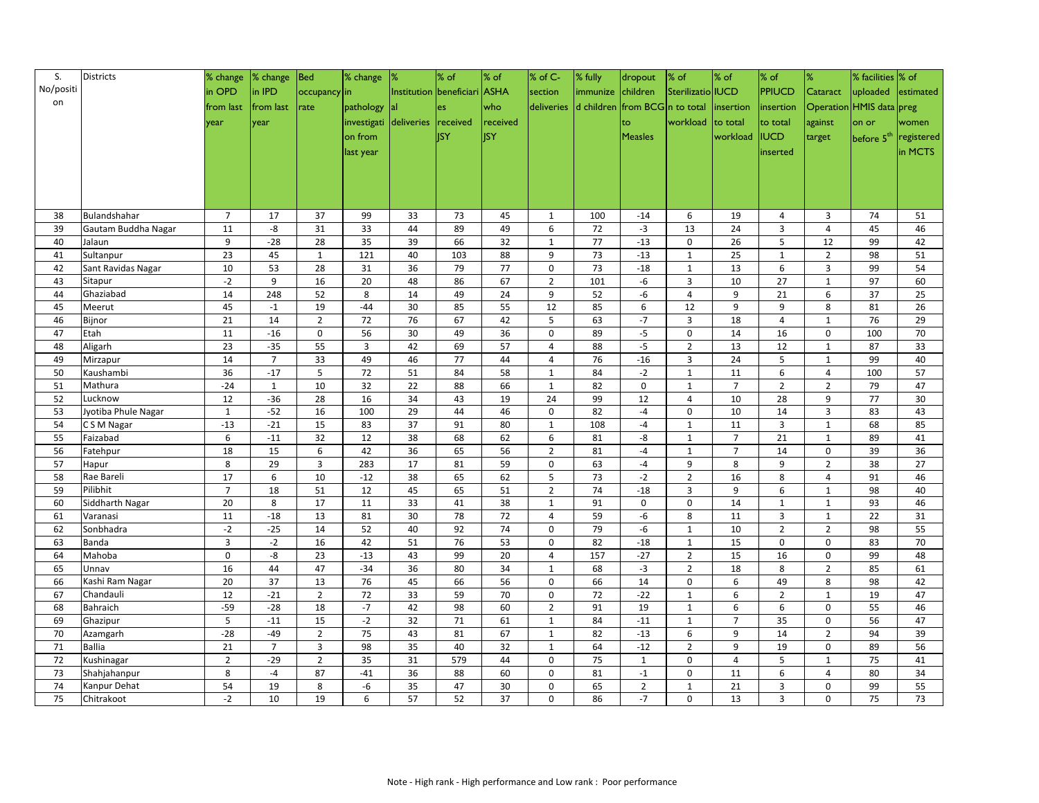| S.        | Districts                          | % change              | $\frac{8}{3}$ change | <b>Bed</b>     | % change                        | 1%       | $\%$ of                      | $\frac{8}{6}$ of | % of C-           | % fully           | dropout                        | $\frac{8}{5}$ of  | $\frac{8}{3}$ of | $\frac{8}{5}$ of | %                            | % facilities  % of       |            |
|-----------|------------------------------------|-----------------------|----------------------|----------------|---------------------------------|----------|------------------------------|------------------|-------------------|-------------------|--------------------------------|-------------------|------------------|------------------|------------------------------|--------------------------|------------|
| No/positi |                                    | in OPD                | in IPD               | $occupancy$ in |                                 |          | Institution beneficiari ASHA |                  | section           | immunize children |                                | Sterilizatio IUCD |                  | <b>PPIUCD</b>    | Cataract                     | uploaded                 | estimated  |
| on        |                                    | from last             | from last            | rate           | pathology                       | lal      | les                          | who              | deliveries        |                   | d children from BCG n to total |                   | linsertion       | insertion        |                              | Operation HMIS data preg |            |
|           |                                    |                       |                      |                | investigati deliveries received |          |                              | received         |                   |                   |                                | workload          | $\vert$ to total | to total         | against                      | on or                    | women      |
|           |                                    | lyear                 | year                 |                |                                 |          |                              | <b>ISY</b>       |                   |                   | lto.                           |                   |                  |                  |                              |                          |            |
|           |                                    |                       |                      |                | on from                         |          | <b>I</b> ISY                 |                  |                   |                   | <b>Measles</b>                 |                   | workload         | <b>IUCD</b>      | target                       | before 5 <sup>th</sup>   | registered |
|           |                                    |                       |                      |                | last year                       |          |                              |                  |                   |                   |                                |                   |                  | inserted         |                              |                          | in MCTS    |
|           |                                    |                       |                      |                |                                 |          |                              |                  |                   |                   |                                |                   |                  |                  |                              |                          |            |
|           |                                    |                       |                      |                |                                 |          |                              |                  |                   |                   |                                |                   |                  |                  |                              |                          |            |
|           |                                    |                       |                      |                |                                 |          |                              |                  |                   |                   |                                |                   |                  |                  |                              |                          |            |
| 38        | Bulandshahar                       | $\overline{7}$        | 17                   | 37             | 99                              | 33       | 73                           | 45               | $\mathbf{1}$      | 100               | $-14$                          | 6                 | 19               | 4                | 3                            | 74                       | 51         |
| 39        | Gautam Buddha Nagar                | 11                    | -8                   | 31             | 33                              | 44       | 89                           | 49               | 6                 | 72                | $-3$                           | 13                | 24               | 3                | 4                            | 45                       | 46         |
| 40        | Jalaun                             | 9                     | $-28$                | 28             | 35                              | 39       | 66                           | 32               | $\mathbf{1}$      | 77                | $-13$                          | $\mathbf 0$       | 26               | 5                | 12                           | 99                       | 42         |
| 41        | Sultanpur                          | 23                    | 45                   | $\mathbf{1}$   | 121                             | 40       | 103                          | 88               | 9                 | 73                | $-13$                          | $\mathbf{1}$      | 25               | $\mathbf 1$      | $\overline{2}$               | 98                       | 51         |
| 42        | Sant Ravidas Nagar                 | 10                    | 53                   | 28             | 31                              | 36       | 79                           | 77               | $\mathbf 0$       | 73                | $-18$                          | $\mathbf{1}$      | 13               | 6                | 3                            | 99                       | 54         |
| 43        | Sitapur                            | $-2$                  | 9                    | 16             | 20                              | 48       | 86                           | 67               | $\overline{2}$    | 101               | $-6$                           | 3                 | 10               | 27               | 1                            | 97                       | 60         |
| 44        | Ghaziabad                          | 14                    | 248                  | 52             | 8                               | 14       | 49                           | 24               | $\boldsymbol{9}$  | 52                | $-6$                           | 4                 | 9                | 21               | 6                            | 37                       | 25         |
| 45        | Meerut                             | 45                    | $-1$                 | 19             | $-44$                           | 30       | 85                           | 55               | 12                | 85                | 6                              | 12                | 9                | 9                | 8                            | 81                       | 26         |
| 46        | Bijnor                             | 21                    | 14                   | $\overline{2}$ | 72                              | 76       | 67                           | 42               | 5                 | 63                | $-7$                           | $\mathbf{3}$      | 18               | 4                | $\mathbf{1}$                 | 76                       | 29         |
| 47        | Etah                               | 11                    | $-16$                | 0              | 56                              | 30       | 49                           | 36               | 0                 | 89                | $-5$                           | $\mathbf 0$       | 14               | 16               | 0                            | 100                      | 70         |
| 48        | Aligarh                            | 23                    | $-35$                | 55             | $\mathbf{3}$                    | 42       | 69                           | 57               | 4                 | 88                | $-5$                           | $\overline{2}$    | 13               | 12               | $\mathbf{1}$                 | 87                       | 33         |
| 49        | Mirzapur                           | 14                    | $\overline{7}$       | 33             | 49                              | 46       | 77                           | 44               | 4                 | 76                | $-16$                          | $\mathbf{3}$      | 24               | 5                | $\mathbf{1}$                 | 99                       | 40         |
| 50        | Kaushambi                          | 36                    | $-17$                | 5              | 72                              | 51       | 84                           | 58               | $\mathbf{1}$      | 84                | $-2$                           | $\mathbf{1}$      | 11               | 6                | 4                            | 100                      | 57         |
| 51        | Mathura                            | $-24$                 | $\mathbf{1}$         | 10             | 32                              | 22       | 88                           | 66               | $\mathbf{1}$      | 82                | $\pmb{0}$                      | 1                 | $\overline{7}$   | $\overline{2}$   | $2^{\circ}$                  | 79                       | 47         |
| 52        | Lucknow                            | 12                    | $-36$                | 28             | 16                              | 34       | 43                           | 19               | 24                | 99                | 12                             | 4                 | 10               | 28               | 9                            | 77                       | 30         |
| 53        | Jyotiba Phule Nagar<br>C S M Nagar | $\mathbf{1}$<br>$-13$ | $-52$<br>$-21$       | 16             | 100<br>83                       | 29<br>37 | 44<br>91                     | 46<br>80         | $\mathbf 0$       | 82<br>108         | $-4$                           | $\mathbf 0$       | 10<br>11         | 14<br>3          | $\mathbf{3}$                 | 83<br>68                 | 43<br>85   |
| 54<br>55  | Faizabad                           | 6                     | $-11$                | 15<br>32       | 12                              | 38       | 68                           | 62               | $\mathbf{1}$<br>6 | 81                | -4<br>-8                       | $\mathbf{1}$<br>1 | $\overline{7}$   | 21               | $\mathbf{1}$<br>$\mathbf{1}$ | 89                       | 41         |
| 56        | Fatehpur                           | 18                    | 15                   | 6              | 42                              | 36       | 65                           | 56               | $\overline{2}$    | 81                | $-4$                           | $\mathbf{1}$      | $\overline{7}$   | 14               | $\mathbf 0$                  | 39                       | 36         |
| 57        | Hapur                              | 8                     | 29                   | 3              | 283                             | 17       | 81                           | 59               | $\mathbf 0$       | 63                | $-4$                           | $9\,$             | 8                | 9                | $\overline{2}$               | 38                       | 27         |
| 58        | Rae Bareli                         | 17                    | 6                    | 10             | $-12$                           | 38       | 65                           | 62               | 5                 | 73                | $-2$                           | 2                 | 16               | 8                | 4                            | 91                       | 46         |
| 59        | Pilibhit                           | $\overline{7}$        | 18                   | 51             | 12                              | 45       | 65                           | 51               | $\overline{2}$    | 74                | $-18$                          | $\mathbf{3}$      | 9                | 6                | 1                            | 98                       | 40         |
| 60        | Siddharth Nagar                    | 20                    | 8                    | 17             | 11                              | 33       | 41                           | 38               | $\mathbf{1}$      | 91                | $\mathbf 0$                    | $\mathbf 0$       | 14               | $\mathbf{1}$     | $\mathbf{1}$                 | 93                       | 46         |
| 61        | Varanasi                           | 11                    | $-18$                | 13             | 81                              | 30       | 78                           | 72               | 4                 | 59                | -6                             | 8                 | 11               | 3                | $\mathbf{1}$                 | 22                       | 31         |
| 62        | Sonbhadra                          | $-2$                  | $-25$                | 14             | 52                              | 40       | 92                           | 74               | $\mathbf 0$       | 79                | $-6$                           | $\mathbf{1}$      | 10               | $\overline{2}$   | $2^{\circ}$                  | 98                       | 55         |
| 63        | Banda                              | $\mathbf{3}$          | $-2$                 | 16             | 42                              | 51       | 76                           | 53               | $\mathbf 0$       | 82                | $-18$                          | $\mathbf{1}$      | 15               | 0                | $\mathbf 0$                  | 83                       | 70         |
| 64        | Mahoba                             | $\mathbf 0$           | -8                   | 23             | $-13$                           | 43       | 99                           | 20               | $\overline{4}$    | 157               | $-27$                          | $\overline{2}$    | 15               | 16               | $\mathbf 0$                  | 99                       | 48         |
| 65        | Unnav                              | 16                    | 44                   | 47             | $-34$                           | 36       | 80                           | 34               | $\mathbf{1}$      | 68                | $-3$                           | $\overline{2}$    | 18               | 8                | $\overline{2}$               | 85                       | 61         |
| 66        | Kashi Ram Nagar                    | 20                    | 37                   | 13             | 76                              | 45       | 66                           | 56               | $\mathbf 0$       | 66                | 14                             | $\mathbf 0$       | 6                | 49               | 8                            | 98                       | 42         |
| 67        | Chandauli                          | 12                    | $-21$                | $\overline{2}$ | 72                              | 33       | 59                           | 70               | $\mathbf 0$       | 72                | $-22$                          | $\mathbf{1}$      | 6                | $\overline{2}$   | $\mathbf{1}$                 | 19                       | 47         |
| 68        | Bahraich                           | $-59$                 | $-28$                | 18             | $-7$                            | 42       | 98                           | 60               | $\overline{2}$    | 91                | 19                             | $\mathbf{1}$      | 6                | 6                | $\mathbf 0$                  | 55                       | 46         |
| 69        | Ghazipur                           | 5                     | $-11$                | 15             | $-2$                            | 32       | 71                           | 61               | $\mathbf{1}$      | 84                | $-11$                          | $\mathbf{1}$      | $\overline{7}$   | 35               | 0                            | 56                       | 47         |
| 70        | Azamgarh                           | $-28$                 | $-49$                | $\overline{2}$ | 75                              | 43       | 81                           | 67               | $\mathbf{1}$      | 82                | $-13$                          | 6                 | 9                | 14               | $2^{\circ}$                  | 94                       | 39         |
| 71        | <b>Ballia</b>                      | 21                    | $\overline{7}$       | 3              | 98                              | 35       | 40                           | 32               | $\mathbf{1}$      | 64                | $-12$                          | $\overline{2}$    | 9                | 19               | $\mathbf 0$                  | 89                       | 56         |
| 72        | Kushinagar                         | $\overline{2}$        | $-29$                | $\overline{2}$ | 35                              | 31       | 579                          | 44               | $\mathbf 0$       | 75                | $\mathbf{1}$                   | $\mathbf 0$       | $\overline{4}$   | 5                | $\mathbf{1}$                 | 75                       | 41         |
| 73        | Shahjahanpur                       | 8                     | $-4$                 | 87             | $-41$                           | 36       | 88                           | 60               | $\mathbf 0$       | 81                | $-1$                           | $\mathbf 0$       | 11               | 6                | $\overline{4}$               | 80                       | 34         |
| 74        | Kanpur Dehat                       | 54                    | 19                   | 8              | -6                              | 35       | 47                           | 30               | $\mathbf 0$       | 65                | $\overline{2}$                 | $\mathbf{1}$      | 21               | 3                | 0                            | 99                       | 55         |
| 75        | Chitrakoot                         | $-2$                  | 10                   | 19             | $\boldsymbol{6}$                | 57       | 52                           | 37               | $\pmb{0}$         | 86                | $-7$                           | $\mathbf 0$       | 13               | $\overline{3}$   | $\mathbf{0}$                 | 75                       | 73         |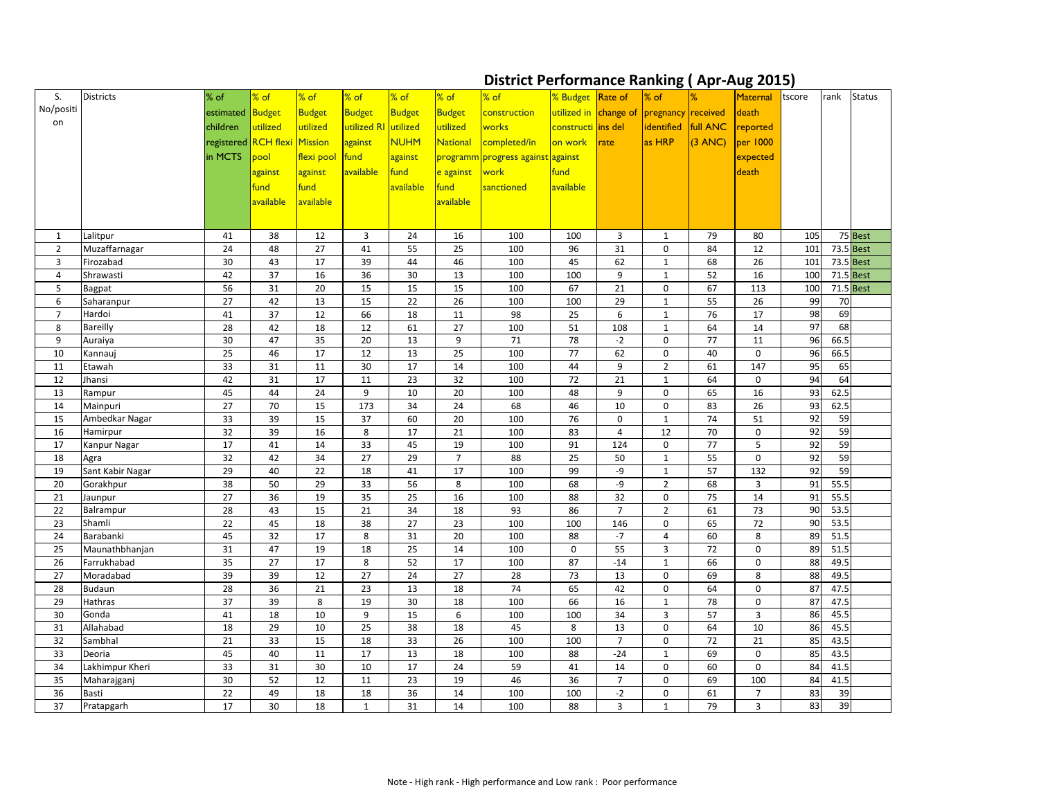## **District Performance Ranking ( Apr-Aug 2015)**

| S.             | <b>Districts</b>         | $%$ of              | $%$ of    | % of          | $%$ of               | % of        | $%$ of          | $%$ of                            | % Budget Rate of      |                      | $\bullet$<br>$%$ of          | %                 | <b>Maternal</b>             | tscore   | rank         | <b>Status</b> |
|----------------|--------------------------|---------------------|-----------|---------------|----------------------|-------------|-----------------|-----------------------------------|-----------------------|----------------------|------------------------------|-------------------|-----------------------------|----------|--------------|---------------|
| No/positi      |                          | estimated Budget    |           | <b>Budget</b> | <b>Budget</b>        | Budget      | <b>Budget</b>   | construction                      | utilized in change of |                      | pregnancy received           |                   | death                       |          |              |               |
| on             |                          | children            | utilized  | utilized      | utilized RI utilized |             | utilized        | works                             | constructi ins del    |                      | identified                   | <b>full ANC</b>   |                             |          |              |               |
|                |                          |                     |           |               |                      |             |                 |                                   |                       |                      |                              |                   | reported                    |          |              |               |
|                |                          | registered RCH flex |           | Mission       | against              | <b>NUHM</b> | <b>National</b> | completed/in                      | on work               | <b>rate</b>          | as HRP                       | $(3 \text{ ANC})$ | per 1000                    |          |              |               |
|                |                          | in MCTS             | pool      | flexi pool    | fund                 | against     |                 | programm progress against against |                       |                      |                              |                   | expected                    |          |              |               |
|                |                          |                     | against   | against       | available            | fund        | e against       | work                              | fund                  |                      |                              |                   | death                       |          |              |               |
|                |                          |                     | fund      | fund          |                      | available   | fund            | sanctioned                        | available             |                      |                              |                   |                             |          |              |               |
|                |                          |                     | available | available     |                      |             | available       |                                   |                       |                      |                              |                   |                             |          |              |               |
|                |                          |                     |           |               |                      |             |                 |                                   |                       |                      |                              |                   |                             |          |              |               |
| 1              | Lalitpur                 | 41                  | 38        | 12            | $\overline{3}$       | 24          | 16              | 100                               | 100                   | 3                    | 1                            | 79                | 80                          | 105      |              | 75 Best       |
| $\overline{2}$ | Muzaffarnagar            | 24                  | 48        | 27            | 41                   | 55          | 25              | 100                               | 96                    | 31                   | 0                            | 84                | 12                          | 101      |              | 73.5 Best     |
| $\mathbf{3}$   | Firozabad                | 30                  | 43        | 17            | 39                   | 44          | 46              | 100                               | 45                    | 62                   | $\mathbf{1}$                 | 68                | 26                          | 101      |              | 73.5 Best     |
| $\overline{4}$ | Shrawasti                | 42                  | 37        | 16            | 36                   | 30          | 13              | 100                               | 100                   | 9                    | $\mathbf{1}$                 | 52                | 16                          | 100      |              | 71.5 Best     |
| 5              | <b>Bagpat</b>            | 56                  | 31        | 20            | 15                   | 15          | 15              | 100                               | 67                    | 21                   | 0                            | 67                | 113                         | 100      |              | $71.5$ Best   |
| 6              | Saharanpur               | 27                  | 42        | 13            | 15                   | 22          | 26              | 100                               | 100                   | 29                   | $\mathbf{1}$                 | 55                | 26                          | 99       | 70           |               |
| $\overline{7}$ | Hardoi                   | 41                  | 37        | 12            | 66                   | 18          | 11              | 98                                | 25                    | 6                    | $\mathbf{1}$                 | 76                | 17                          | 98       | 69           |               |
| 8              | Bareilly                 | 28                  | 42        | 18            | 12                   | 61          | 27              | 100                               | 51                    | 108                  | $\mathbf{1}$                 | 64                | 14                          | 97       | 68           |               |
| 9              | Auraiya                  | 30                  | 47        | 35            | 20                   | 13          | 9               | 71                                | 78                    | $-2$                 | $\mathbf 0$                  | 77                | 11                          | 96       | 66.5         |               |
| 10             | Kannauj                  | 25                  | 46        | 17            | 12                   | 13          | 25              | 100                               | 77                    | 62                   | $\mathbf 0$                  | 40                | $\mathbf 0$                 | 96       | 66.5         |               |
| 11             | Etawah                   | 33                  | 31        | 11            | 30                   | 17          | 14              | 100                               | 44                    | 9                    | $\overline{2}$               | 61                | 147                         | 95       | 65           |               |
| 12             | Jhansi                   | 42                  | 31        | 17            | 11                   | 23          | 32              | 100                               | 72                    | 21                   | $\mathbf{1}$                 | 64                | 0                           | 94       | 64           |               |
| 13             | Rampur                   | 45                  | 44        | 24            | 9                    | 10          | 20              | 100                               | 48                    | 9                    | $\mathbf{0}$                 | 65                | 16                          | 93       | 62.5         |               |
| 14             | Mainpuri                 | 27                  | 70        | 15            | 173                  | 34          | 24              | 68                                | 46                    | 10                   | $\mathbf 0$                  | 83                | 26                          | 93       | 62.5         |               |
| 15             | Ambedkar Nagar           | 33                  | 39        | 15            | 37                   | 60          | 20              | 100                               | 76                    | $\mathbf 0$          | $\mathbf{1}$                 | 74                | 51                          | 92       | 59           |               |
| 16             | Hamirpur                 | 32                  | 39        | 16            | 8                    | 17          | 21              | 100                               | 83                    | 4                    | 12                           | 70                | $\mathbf 0$                 | 92       | 59           |               |
| 17             | Kanpur Nagar             | 17                  | 41        | 14            | 33                   | 45          | 19              | 100                               | 91                    | 124                  | $\mathbf 0$                  | 77                | 5                           | 92       | 59           |               |
| 18             | Agra                     | 32                  | 42        | 34            | 27                   | 29          | $\overline{7}$  | 88                                | 25                    | 50                   | $\mathbf{1}$                 | 55                | $\mathbf 0$                 | 92       | 59           |               |
| 19             | Sant Kabir Nagar         | 29                  | 40        | 22            | 18                   | 41          | 17              | 100                               | 99                    | -9                   | $\mathbf{1}$                 | 57                | 132                         | 92       | 59           |               |
| 20             | Gorakhpur                | 38                  | 50        | 29            | 33                   | 56          | 8               | 100                               | 68                    | -9                   | $\overline{2}$               | 68                | 3                           | 91       | 55.5         |               |
| 21             | Jaunpur                  | $27$                | 36        | 19            | 35                   | 25          | 16              | 100                               | 88                    | 32                   | $\mathbf 0$                  | 75                | 14                          | 91       | 55.5         |               |
| 22             | Balrampur                | 28                  | 43        | 15            | 21                   | 34          | 18              | 93                                | 86                    | 7 <sup>1</sup>       | $\overline{2}$               | 61                | 73                          | 90       | 53.5         |               |
| 23             | Shamli                   | 22                  | 45        | 18            | 38                   | 27          | 23              | 100                               | 100                   | 146                  | $\mathbf{0}$                 | 65                | 72                          | 90       | 53.5         |               |
| 24             | Barabanki                | 45                  | 32        | 17            | 8                    | 31          | 20              | 100                               | 88                    | $-7$                 | 4                            | 60                | 8                           | 89       | 51.5         |               |
| 25             | Maunathbhanjan           | 31                  | 47        | 19            | 18                   | 25          | 14              | 100                               | 0                     | 55                   | $\mathbf{3}$                 | 72                | $\mathbf 0$                 | 89       | 51.5         |               |
| 26             | Farrukhabad              | 35                  | 27        | 17            | 8                    | 52          | 17              | 100                               | 87                    | $-14$                | $\mathbf{1}$                 | 66                | $\mathbf 0$                 | 88       | 49.5         |               |
| 27             | Moradabad                | 39                  | 39        | 12            | 27                   | 24          | 27              | 28                                | 73                    | 13                   | $\mathbf 0$                  | 69                | 8                           | 88       | 49.5         |               |
| 28<br>29       | <b>Budaun</b><br>Hathras | 28<br>37            | 36<br>39  | 21<br>8       | 23<br>19             | 13<br>30    | 18              | 74                                | 65<br>66              | 42                   | $\mathbf 0$                  | 64<br>78          | 0                           | 87<br>87 | 47.5<br>47.5 |               |
|                | Gonda                    |                     | 18        |               | 9                    |             | 18<br>6         | 100                               |                       | 16                   | $\mathbf{1}$<br>$\mathbf{3}$ | 57                | $\mathbf 0$<br>$\mathbf{3}$ | 86       | 45.5         |               |
| 30             |                          | 41                  |           | 10            |                      | 15          |                 | 100                               | 100                   | 34                   |                              |                   |                             |          | 45.5         |               |
| 31<br>32       | Allahabad<br>Sambhal     | 18<br>21            | 29<br>33  | 10<br>15      | 25<br>18             | 38<br>33    | 18<br>26        | 45<br>100                         | 8<br>100              | 13<br>$\overline{7}$ | $\mathbf 0$<br>0             | 64<br>72          | 10<br>21                    | 86<br>85 | 43.5         |               |
| 33             | Deoria                   | 45                  | 40        | 11            | 17                   | 13          | 18              | 100                               | 88                    | $-24$                |                              | 69                | $\mathbf 0$                 | 85       | 43.5         |               |
| 34             | Lakhimpur Kheri          | 33                  | 31        | 30            | 10                   | 17          | 24              | 59                                | 41                    | 14                   | $\mathbf{1}$<br>$\mathbf 0$  | 60                | $\mathbf 0$                 | 84       | 41.5         |               |
| 35             | Maharajganj              | 30                  | 52        | 12            | 11                   | 23          | 19              | 46                                | 36                    | $\overline{7}$       | $\mathbf 0$                  | 69                | 100                         | 84       | 41.5         |               |
| 36             | Basti                    | 22                  | 49        | 18            | 18                   | 36          | 14              | 100                               | 100                   | $-2$                 | 0                            | 61                | $\overline{7}$              | 83       | 39           |               |
| 37             | Pratapgarh               | 17                  | 30        | 18            | $\mathbf{1}$         | 31          | 14              | 100                               | 88                    | 3                    | $\mathbf{1}$                 | 79                | $\overline{3}$              | 83       | 39           |               |
|                |                          |                     |           |               |                      |             |                 |                                   |                       |                      |                              |                   |                             |          |              |               |